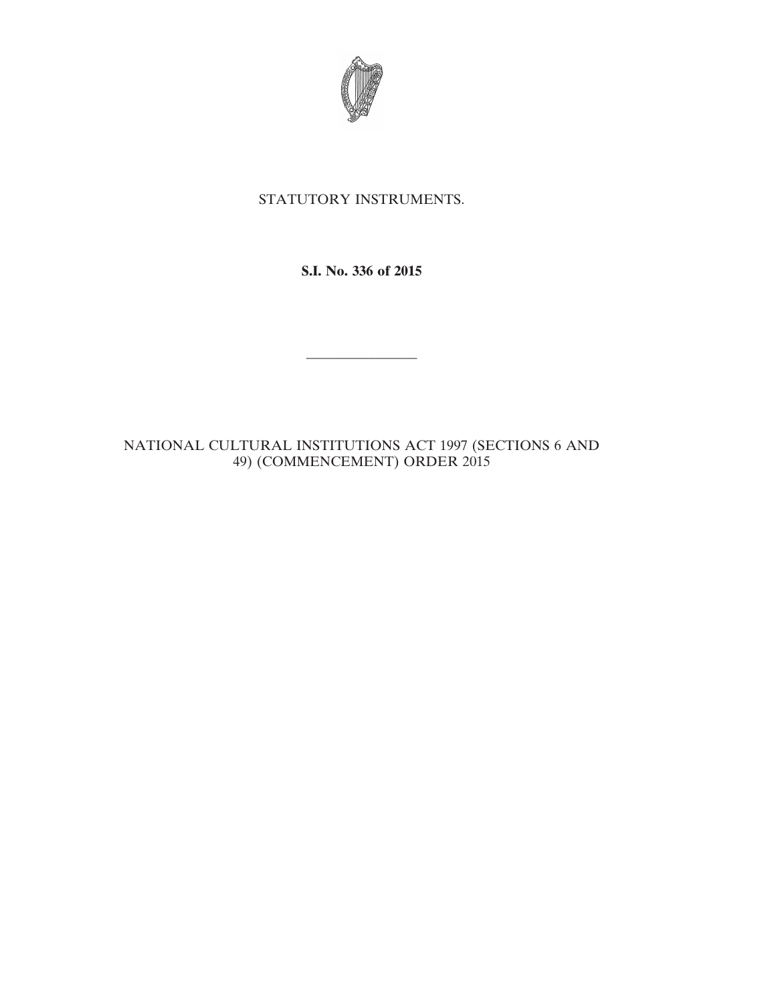

## STATUTORY INSTRUMENTS.

**S.I. No. 336 of 2015**

————————

NATIONAL CULTURAL INSTITUTIONS ACT 1997 (SECTIONS 6 AND 49) (COMMENCEMENT) ORDER 2015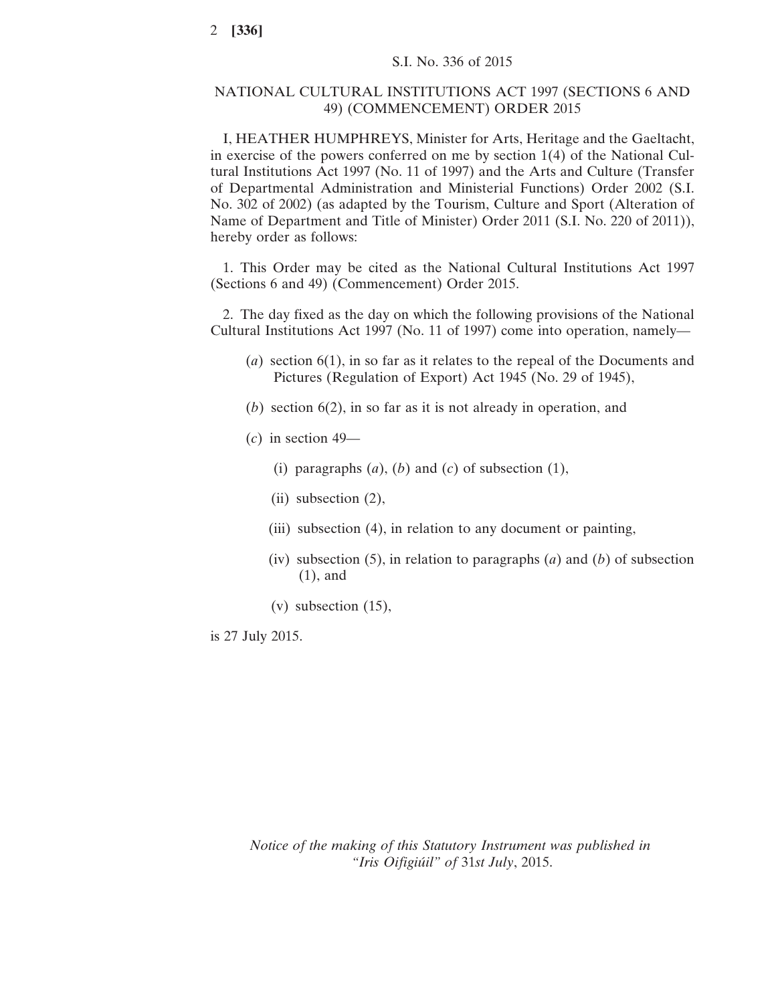## NATIONAL CULTURAL INSTITUTIONS ACT 1997 (SECTIONS 6 AND 49) (COMMENCEMENT) ORDER 2015

I, HEATHER HUMPHREYS, Minister for Arts, Heritage and the Gaeltacht, in exercise of the powers conferred on me by section 1(4) of the National Cultural Institutions Act 1997 (No. 11 of 1997) and the Arts and Culture (Transfer of Departmental Administration and Ministerial Functions) Order 2002 (S.I. No. 302 of 2002) (as adapted by the Tourism, Culture and Sport (Alteration of Name of Department and Title of Minister) Order 2011 (S.I. No. 220 of 2011)), hereby order as follows:

1. This Order may be cited as the National Cultural Institutions Act 1997 (Sections 6 and 49) (Commencement) Order 2015.

2. The day fixed as the day on which the following provisions of the National Cultural Institutions Act 1997 (No. 11 of 1997) come into operation, namely—

- (*a*) section 6(1), in so far as it relates to the repeal of the Documents and Pictures (Regulation of Export) Act 1945 (No. 29 of 1945),
- (*b*) section 6(2), in so far as it is not already in operation, and
- (*c*) in section 49—
	- (i) paragraphs  $(a)$ ,  $(b)$  and  $(c)$  of subsection  $(1)$ ,
	- (ii) subsection (2),
	- (iii) subsection (4), in relation to any document or painting,
	- (iv) subsection (5), in relation to paragraphs (*a*) and (*b*) of subsection (1), and
	- (v) subsection (15),

is 27 July 2015.

*Notice of the making of this Statutory Instrument was published in "Iris Oifigiúil" of* 31*st July*, 2015.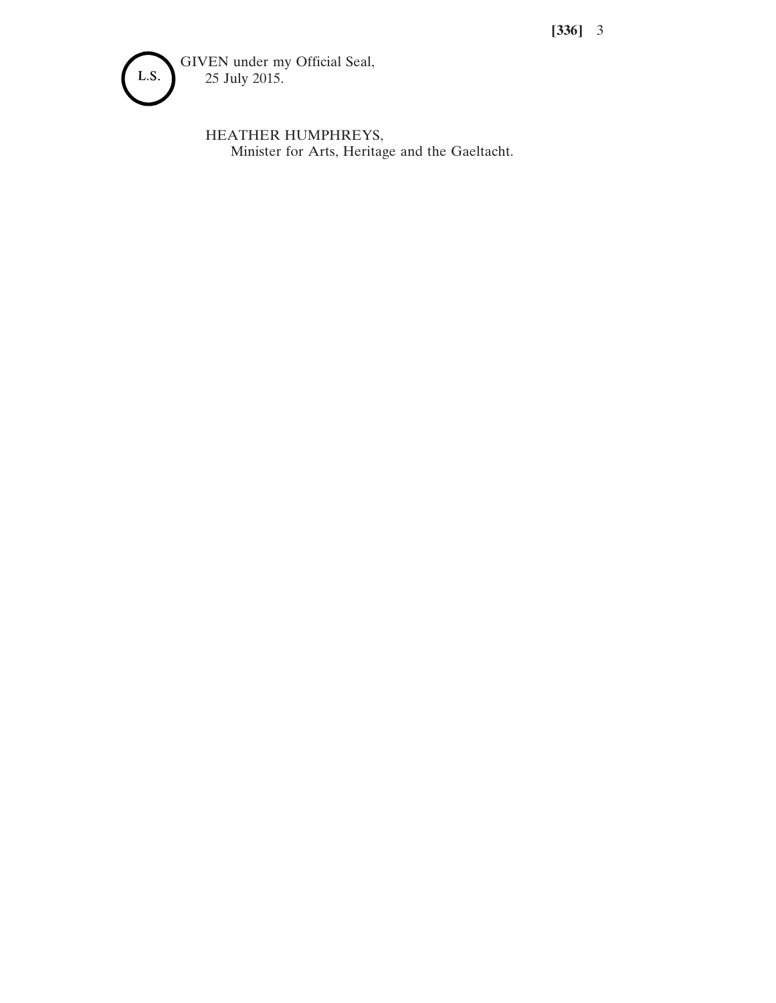**[336]** 3



HEATHER HUMPHREYS, Minister for Arts, Heritage and the Gaeltacht.